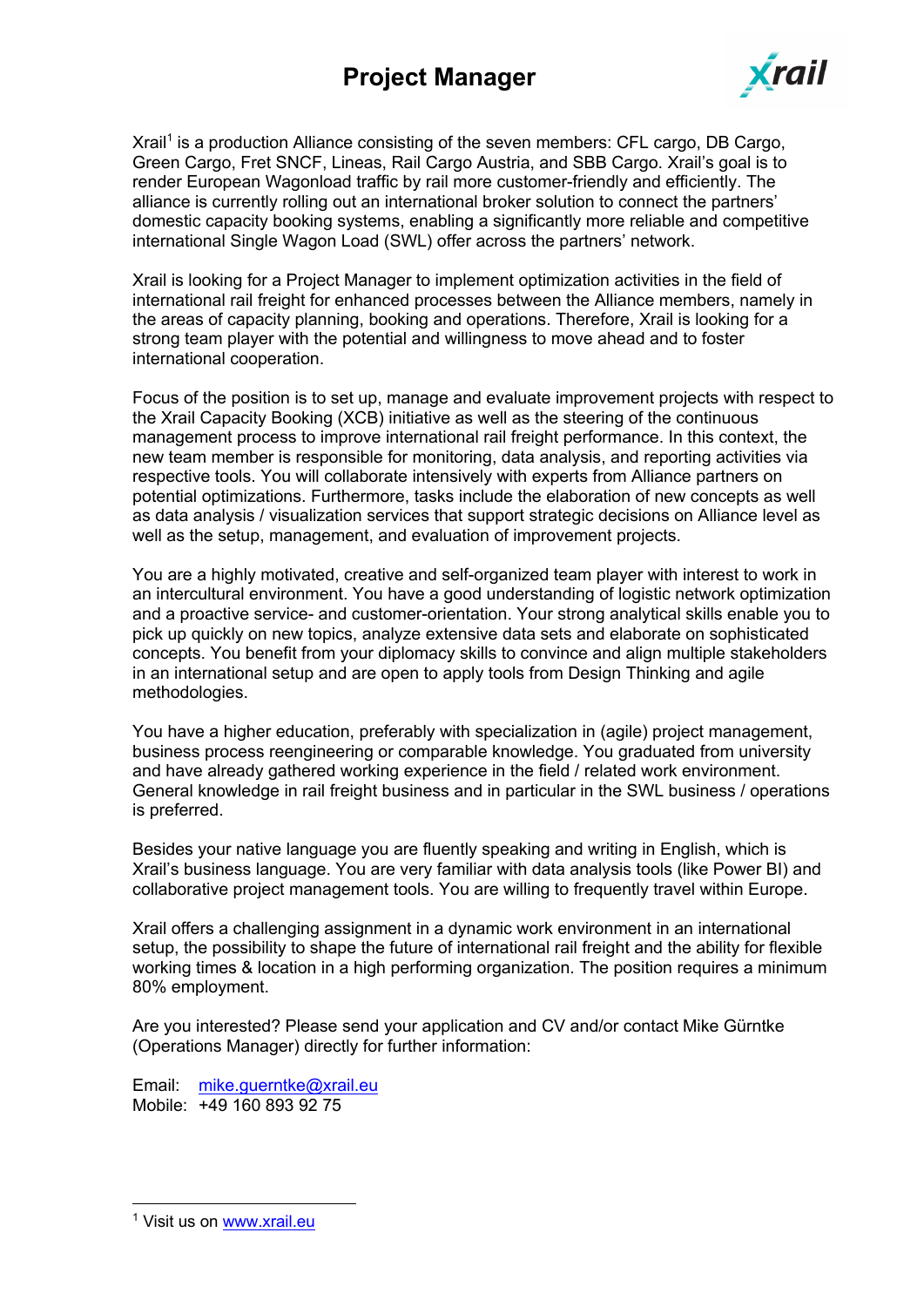

Xrail<sup>1</sup> is a production Alliance consisting of the seven members: CFL cargo, DB Cargo, Green Cargo, Fret SNCF, Lineas, Rail Cargo Austria, and SBB Cargo. Xrail's goal is to render European Wagonload traffic by rail more customer-friendly and efficiently. The alliance is currently rolling out an international broker solution to connect the partners' domestic capacity booking systems, enabling a significantly more reliable and competitive international Single Wagon Load (SWL) offer across the partners' network.

Xrail is looking for a Project Manager to implement optimization activities in the field of international rail freight for enhanced processes between the Alliance members, namely in the areas of capacity planning, booking and operations. Therefore, Xrail is looking for a strong team player with the potential and willingness to move ahead and to foster international cooperation.

Focus of the position is to set up, manage and evaluate improvement projects with respect to the Xrail Capacity Booking (XCB) initiative as well as the steering of the continuous management process to improve international rail freight performance. In this context, the new team member is responsible for monitoring, data analysis, and reporting activities via respective tools. You will collaborate intensively with experts from Alliance partners on potential optimizations. Furthermore, tasks include the elaboration of new concepts as well as data analysis / visualization services that support strategic decisions on Alliance level as well as the setup, management, and evaluation of improvement projects.

You are a highly motivated, creative and self-organized team player with interest to work in an intercultural environment. You have a good understanding of logistic network optimization and a proactive service- and customer-orientation. Your strong analytical skills enable you to pick up quickly on new topics, analyze extensive data sets and elaborate on sophisticated concepts. You benefit from your diplomacy skills to convince and align multiple stakeholders in an international setup and are open to apply tools from Design Thinking and agile methodologies.

You have a higher education, preferably with specialization in (agile) project management, business process reengineering or comparable knowledge. You graduated from university and have already gathered working experience in the field / related work environment. General knowledge in rail freight business and in particular in the SWL business / operations is preferred.

Besides your native language you are fluently speaking and writing in English, which is Xrail's business language. You are very familiar with data analysis tools (like Power BI) and collaborative project management tools. You are willing to frequently travel within Europe.

Xrail offers a challenging assignment in a dynamic work environment in an international setup, the possibility to shape the future of international rail freight and the ability for flexible working times & location in a high performing organization. The position requires a minimum 80% employment.

Are you interested? Please send your application and CV and/or contact Mike Gürntke (Operations Manager) directly for further information:

Email: mike.guerntke@xrail.eu Mobile: +49 160 893 92 75

<sup>&</sup>lt;sup>1</sup> Visit us on www.xrail.eu